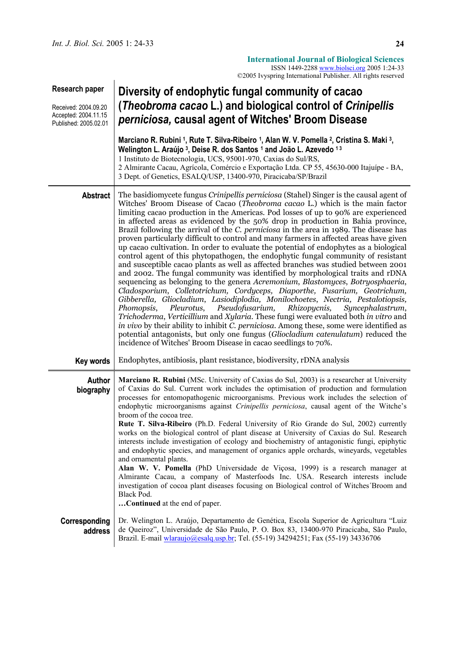|                                                                                         | ©2005 Ivyspring International Publisher. All rights reserved                                                                                                                                                                                                                                                                                                                                                                                                                                                                                                                                                                                                                                                                                                                                                                                                                                                                                                                                                                                                                                                                                                                                                                                                                                                                                                                                                                                                                                                                                                                            |  |  |
|-----------------------------------------------------------------------------------------|-----------------------------------------------------------------------------------------------------------------------------------------------------------------------------------------------------------------------------------------------------------------------------------------------------------------------------------------------------------------------------------------------------------------------------------------------------------------------------------------------------------------------------------------------------------------------------------------------------------------------------------------------------------------------------------------------------------------------------------------------------------------------------------------------------------------------------------------------------------------------------------------------------------------------------------------------------------------------------------------------------------------------------------------------------------------------------------------------------------------------------------------------------------------------------------------------------------------------------------------------------------------------------------------------------------------------------------------------------------------------------------------------------------------------------------------------------------------------------------------------------------------------------------------------------------------------------------------|--|--|
| Research paper<br>Received: 2004.09.20<br>Accepted: 2004.11.15<br>Published: 2005.02.01 | Diversity of endophytic fungal community of cacao<br>(Theobroma cacao L.) and biological control of Crinipellis<br>perniciosa, causal agent of Witches' Broom Disease                                                                                                                                                                                                                                                                                                                                                                                                                                                                                                                                                                                                                                                                                                                                                                                                                                                                                                                                                                                                                                                                                                                                                                                                                                                                                                                                                                                                                   |  |  |
|                                                                                         | Marciano R. Rubini <sup>1</sup> , Rute T. Silva-Ribeiro <sup>1</sup> , Alan W. V. Pomella <sup>2</sup> , Cristina S. Maki <sup>3</sup> ,<br>Welington L. Araújo 3, Deise R. dos Santos 1 and João L. Azevedo 13<br>1 Instituto de Biotecnologia, UCS, 95001-970, Caxias do Sul/RS,<br>2 Almirante Cacau, Agrícola, Comércio e Exportação Ltda. CP 55, 45630-000 Itajuípe - BA,<br>3 Dept. of Genetics, ESALQ/USP, 13400-970, Piracicaba/SP/Brazil                                                                                                                                                                                                                                                                                                                                                                                                                                                                                                                                                                                                                                                                                                                                                                                                                                                                                                                                                                                                                                                                                                                                       |  |  |
| <b>Abstract</b>                                                                         | The basidiomycete fungus <i>Crinipellis perniciosa</i> (Stahel) Singer is the causal agent of<br>Witches' Broom Disease of Cacao (Theobroma cacao L.) which is the main factor<br>limiting cacao production in the Americas. Pod losses of up to 90% are experienced<br>in affected areas as evidenced by the 50% drop in production in Bahia province,<br>Brazil following the arrival of the C. perniciosa in the area in 1989. The disease has<br>proven particularly difficult to control and many farmers in affected areas have given<br>up cacao cultivation. In order to evaluate the potential of endophytes as a biological<br>control agent of this phytopathogen, the endophytic fungal community of resistant<br>and susceptible cacao plants as well as affected branches was studied between 2001<br>and 2002. The fungal community was identified by morphological traits and rDNA<br>sequencing as belonging to the genera Acremonium, Blastomyces, Botryosphaeria,<br>Cladosporium, Colletotrichum, Cordyceps, Diaporthe, Fusarium, Geotrichum,<br>Gibberella, Gliocladium, Lasiodiplodia, Monilochoetes, Nectria, Pestalotiopsis,<br>Pleurotus,<br>Pseudofusarium,<br>Rhizopycnis,<br>Phomopsis,<br>Syncephalastrum,<br>Trichoderma, Verticillium and Xylaria. These fungi were evaluated both in vitro and<br>in vivo by their ability to inhibit <i>C. perniciosa</i> . Among these, some were identified as<br>potential antagonists, but only one fungus (Gliocladium catenulatum) reduced the<br>incidence of Witches' Broom Disease in cacao seedlings to 70%. |  |  |
| Key words                                                                               | Endophytes, antibiosis, plant resistance, biodiversity, rDNA analysis                                                                                                                                                                                                                                                                                                                                                                                                                                                                                                                                                                                                                                                                                                                                                                                                                                                                                                                                                                                                                                                                                                                                                                                                                                                                                                                                                                                                                                                                                                                   |  |  |
| Author<br>biography                                                                     | Marciano R. Rubini (MSc. University of Caxias do Sul, 2003) is a researcher at University<br>of Caxias do Sul. Current work includes the optimisation of production and formulation<br>processes for entomopathogenic microorganisms. Previous work includes the selection of<br>endophytic microorganisms against Crinipellis perniciosa, causal agent of the Witche's<br>broom of the cocoa tree.<br>Rute T. Silva-Ribeiro (Ph.D. Federal University of Rio Grande do Sul, 2002) currently<br>works on the biological control of plant disease at University of Caxias do Sul. Research<br>interests include investigation of ecology and biochemistry of antagonistic fungi, epiphytic<br>and endophytic species, and management of organics apple orchards, wineyards, vegetables<br>and ornamental plants.<br>Alan W. V. Pomella (PhD Universidade de Viçosa, 1999) is a research manager at<br>Almirante Cacau, a company of Masterfoods Inc. USA. Research interests include<br>investigation of cocoa plant diseases focusing on Biological control of Witches Broom and<br>Black Pod.<br>Continued at the end of paper.                                                                                                                                                                                                                                                                                                                                                                                                                                                        |  |  |
| Corresponding<br>address                                                                | Dr. Welington L. Araújo, Departamento de Genética, Escola Superior de Agricultura "Luiz"<br>de Queiroz", Universidade de São Paulo, P. O. Box 83, 13400-970 Piracicaba, São Paulo,<br>Brazil. E-mail <i>wlaraujo@esalq.usp.br</i> ; Tel. (55-19) 34294251; Fax (55-19) 34336706                                                                                                                                                                                                                                                                                                                                                                                                                                                                                                                                                                                                                                                                                                                                                                                                                                                                                                                                                                                                                                                                                                                                                                                                                                                                                                         |  |  |

**International Journal of Biological Sciences**  ISSN 1449-2288 www.biolsci.org 2005 1:24-33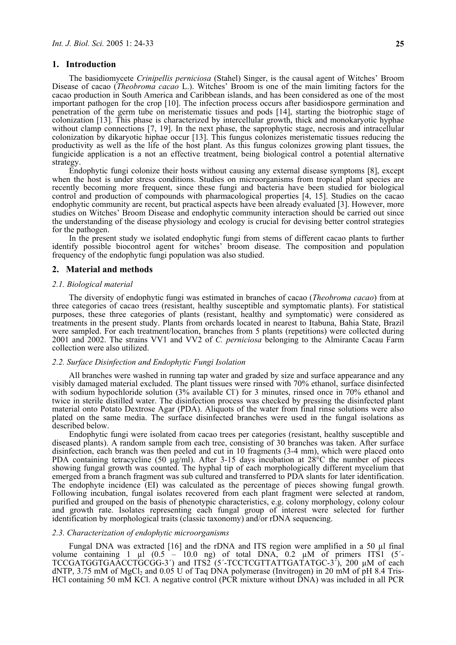### **1. Introduction**

The basidiomycete *Crinipellis perniciosa* (Stahel) Singer, is the causal agent of Witches' Broom Disease of cacao (*Theobroma cacao* L.). Witches' Broom is one of the main limiting factors for the cacao production in South America and Caribbean islands, and has been considered as one of the most important pathogen for the crop [10]. The infection process occurs after basidiospore germination and penetration of the germ tube on meristematic tissues and pods [14], starting the biotrophic stage of colonization [13]. This phase is characterized by intercellular growth, thick and monokaryotic hyphae without clamp connections [7, 19]. In the next phase, the saprophytic stage, necrosis and intracellular colonization by dikaryotic hiphae occur [13]. This fungus colonizes meristematic tissues reducing the productivity as well as the life of the host plant. As this fungus colonizes growing plant tissues, the fungicide application is a not an effective treatment, being biological control a potential alternative strategy.

Endophytic fungi colonize their hosts without causing any external disease symptoms [8], except when the host is under stress conditions. Studies on microorganisms from tropical plant species are recently becoming more frequent, since these fungi and bacteria have been studied for biological control and production of compounds with pharmacological properties [4, 15]. Studies on the cacao endophytic community are recent, but practical aspects have been already evaluated [3]. However, more studies on Witches' Broom Disease and endophytic community interaction should be carried out since the understanding of the disease physiology and ecology is crucial for devising better control strategies for the pathogen.

In the present study we isolated endophytic fungi from stems of different cacao plants to further identify possible biocontrol agent for witches' broom disease. The composition and population frequency of the endophytic fungi population was also studied.

### **2. Material and methods**

## *2.1. Biological material*

The diversity of endophytic fungi was estimated in branches of cacao (*Theobroma cacao*) from at three categories of cacao trees (resistant, healthy susceptible and symptomatic plants). For statistical purposes, these three categories of plants (resistant, healthy and symptomatic) were considered as treatments in the present study. Plants from orchards located in nearest to Itabuna, Bahia State, Brazil were sampled. For each treatment/location, branches from 5 plants (repetitions) were collected during 2001 and 2002. The strains VV1 and VV2 of *C. perniciosa* belonging to the Almirante Cacau Farm collection were also utilized.

#### *2.2. Surface Disinfection and Endophytic Fungi Isolation*

All branches were washed in running tap water and graded by size and surface appearance and any visibly damaged material excluded. The plant tissues were rinsed with 70% ethanol, surface disinfected with sodium hypochloride solution (3% available CI) for 3 minutes, rinsed once in 70% ethanol and twice in sterile distilled water. The disinfection process was checked by pressing the disinfected plant material onto Potato Dextrose Agar (PDA). Aliquots of the water from final rinse solutions were also plated on the same media. The surface disinfected branches were used in the fungal isolations as described below.

Endophytic fungi were isolated from cacao trees per categories (resistant, healthy susceptible and diseased plants). A random sample from each tree, consisting of 30 branches was taken. After surface disinfection, each branch was then peeled and cut in 10 fragments (3-4 mm), which were placed onto PDA containing tetracycline (50  $\mu$ g/ml). After 3-15 days incubation at 28<sup>6</sup>C the number of pieces showing fungal growth was counted. The hyphal tip of each morphologically different mycelium that emerged from a branch fragment was sub cultured and transferred to PDA slants for later identification. The endophyte incidence (EI) was calculated as the percentage of pieces showing fungal growth. Following incubation, fungal isolates recovered from each plant fragment were selected at random, purified and grouped on the basis of phenotypic characteristics, e.g. colony morphology, colony colour and growth rate. Isolates representing each fungal group of interest were selected for further identification by morphological traits (classic taxonomy) and/or rDNA sequencing.

#### *2.3. Characterization of endophytic microorganisms*

Fungal DNA was extracted [16] and the rDNA and ITS region were amplified in a 50 ul final volume containing 1  $\mu$ l (0.5 – 10.0 ng) of total DNA, 0.2  $\mu$ M of primers ITS1 (5<sup>2</sup>-TCCGATGGTGAACCTGCGG-3´) and ITS2 (5´-TCCTCGTTATTGATATGC-3´), 200 µM of each dNTP, 3.75 mM of  $MgCl<sub>2</sub>$  and 0.05 U of Taq DNA polymerase (Invitrogen) in 20 mM of pH 8.4 Tris-HCl containing 50 mM KCl. A negative control (PCR mixture without DNA) was included in all PCR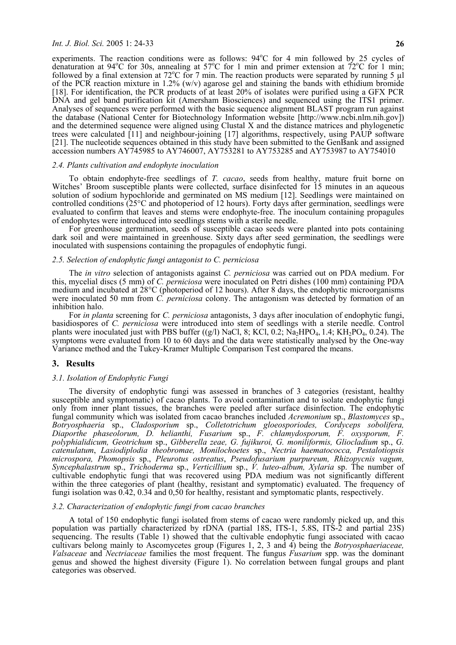### *Int. J. Biol. Sci.* 2005 1: 24-33 **26**

experiments. The reaction conditions were as follows:  $94^{\circ}$ C for 4 min followed by 25 cycles of denaturation at 94°C for 30s, annealing at 57°C for 1 min and primer extension at 72°C for 1 min; followed by a final extension at 72 $^{\circ}$ C for 7 min. The reaction products were separated by running 5  $\mu$ l of the PCR reaction mixture in 1.2% (w/v) agarose gel and staining the bands with ethidium bromide [18]. For identification, the PCR products of at least 20% of isolates were purified using a GFX PCR DNA and gel band purification kit (Amersham Biosciences) and sequenced using the ITS1 primer. Analyses of sequences were performed with the basic sequence alignment BLAST program run against the database (National Center for Biotechnology Information website [http://www.ncbi.nlm.nih.gov]) and the determined sequence were aligned using Clustal X and the distance matrices and phylogenetic trees were calculated [11] and neighbour-joining [17] algorithms, respectively, using PAUP software [21]. The nucleotide sequences obtained in this study have been submitted to the GenBank and assigned accession numbers AY745985 to AY746007, AY753281 to AY753285 and AY753987 to AY754010

### *2.4. Plants cultivation and endophyte inoculation*

To obtain endophyte-free seedlings of *T. cacao*, seeds from healthy, mature fruit borne on Witches' Broom susceptible plants were collected, surface disinfected for 15 minutes in an aqueous solution of sodium hypochloride and germinated on MS medium [12]. Seedlings were maintained on controlled conditions (25°C and photoperiod of 12 hours). Forty days after germination, seedlings were evaluated to confirm that leaves and stems were endophyte-free. The inoculum containing propagules of endophytes were introduced into seedlings stems with a sterile needle.

For greenhouse germination, seeds of susceptible cacao seeds were planted into pots containing dark soil and were maintained in greenhouse. Sixty days after seed germination, the seedlings were inoculated with suspensions containing the propagules of endophytic fungi.

#### *2.5. Selection of endophytic fungi antagonist to C. perniciosa*

The *in vitro* selection of antagonists against *C. perniciosa* was carried out on PDA medium. For this, mycelial discs (5 mm) of *C. perniciosa* were inoculated on Petri dishes (100 mm) containing PDA medium and incubated at 28°C (photoperiod of 12 hours). After 8 days, the endophytic microorganisms were inoculated 50 mm from *C. perniciosa* colony. The antagonism was detected by formation of an inhibition halo.

For *in planta* screening for *C. perniciosa* antagonists, 3 days after inoculation of endophytic fungi, basidiospores of *C. perniciosa* were introduced into stem of seedlings with a sterile needle. Control plants were inoculated just with PBS buffer  $((g/l)$  NaCl, 8; KCl, 0.2; Na<sub>2</sub>HPO<sub>4</sub>, 1.4; KH<sub>2</sub>PO<sub>4</sub>, 0.24). The symptoms were evaluated from 10 to 60 days and the data were statistically analysed by the One-way Variance method and the Tukey-Kramer Multiple Comparison Test compared the means.

### **3. Results**

#### *3.1. Isolation of Endophytic Fungi*

The diversity of endophytic fungi was assessed in branches of 3 categories (resistant, healthy susceptible and symptomatic) of cacao plants. To avoid contamination and to isolate endophytic fungi only from inner plant tissues, the branches were peeled after surface disinfection. The endophytic fungal community which was isolated from cacao branches included *Acremonium* sp., *Blastomyces* sp., *Botryosphaeria* sp., *Cladosporium* sp., *Colletotrichum gloeosporiodes, Cordyceps sobolifera, Diaporthe phaseolorum, D. helianthi, Fusarium* sp., *F. chlamydosporum, F. oxysporum, F. polyphialidicum, Geotrichum* sp., *Gibberella zeae, G. fujikuroi, G. moniliformis, Gliocladium* sp., *G. catenulatum*, *Lasiodiplodia theobromae, Monilochoetes* sp., *Nectria haematococca, Pestalotiopsis microspora, Phomopsis* sp., *Pleurotus ostreatus*, *Pseudofusarium purpureum, Rhizopycnis vagum, Syncephalastrum* sp., *Trichoderma* sp., *Verticillium* sp., *V. luteo-album, Xylaria* sp. The number of cultivable endophytic fungi that was recovered using PDA medium was not significantly different within the three categories of plant (healthy, resistant and symptomatic) evaluated. The frequency of fungi isolation was 0.42, 0.34 and 0,50 for healthy, resistant and symptomatic plants, respectively.

## *3.2. Characterization of endophytic fungi from cacao branches*

A total of 150 endophytic fungi isolated from stems of cacao were randomly picked up, and this population was partially characterized by rDNA (partial 18S, ITS-1, 5.8S, ITS-2 and partial 23S) sequencing. The results (Table 1) showed that the cultivable endophytic fungi associated with cacao cultivars belong mainly to Ascomycetes group (Figures 1, 2, 3 and 4) being the *Botryosphaeriaceae, Valsaceae* and *Nectriaceae* families the most frequent. The fungus *Fusarium* spp. was the dominant genus and showed the highest diversity (Figure 1). No correlation between fungal groups and plant categories was observed.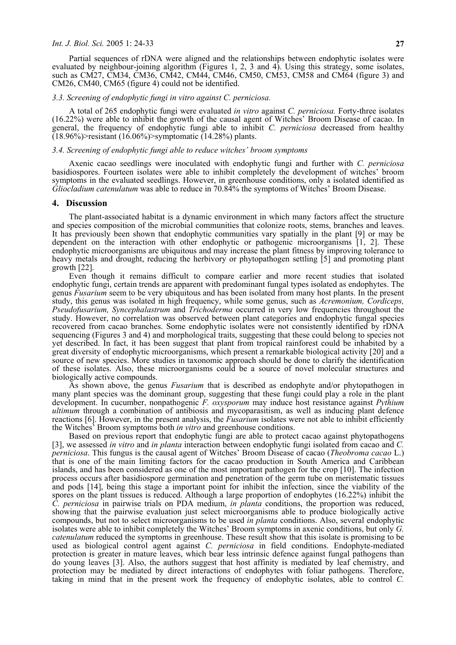#### *Int. J. Biol. Sci.* 2005 1: 24-33 **27**

Partial sequences of rDNA were aligned and the relationships between endophytic isolates were evaluated by neighbour-joining algorithm (Figures 1, 2, 3 and 4). Using this strategy, some isolates, such as CM27, CM34, CM36, CM42, CM44, CM46, CM50, CM53, CM58 and CM64 (figure 3) and CM26, CM40, CM65 (figure 4) could not be identified.

### *3.3. Screening of endophytic fungi in vitro against C. perniciosa.*

A total of 265 endophytic fungi were evaluated *in vitro* against *C. perniciosa.* Forty-three isolates (16.22%) were able to inhibit the growth of the causal agent of Witches' Broom Disease of cacao. In general, the frequency of endophytic fungi able to inhibit *C. perniciosa* decreased from healthy  $(18.96\%)$ >resistant (16.06%)>symptomatic (14.28%) plants.

#### *3.4. Screening of endophytic fungi able to reduce witches' broom symptoms*

Axenic cacao seedlings were inoculated with endophytic fungi and further with *C. perniciosa*  basidiospores. Fourteen isolates were able to inhibit completely the development of witches' broom symptoms in the evaluated seedlings. However, in greenhouse conditions, only a isolated identified as *Gliocladium catenulatum* was able to reduce in 70.84% the symptoms of Witches' Broom Disease.

#### **4. Discussion**

The plant-associated habitat is a dynamic environment in which many factors affect the structure and species composition of the microbial communities that colonize roots, stems, branches and leaves. It has previously been shown that endophytic communities vary spatially in the plant [9] or may be dependent on the interaction with other endophytic or pathogenic microorganisms [1, 2]. These endophytic microorganisms are ubiquitous and may increase the plant fitness by improving tolerance to heavy metals and drought, reducing the herbivory or phytopathogen settling [5] and promoting plant growth [22].

Even though it remains difficult to compare earlier and more recent studies that isolated endophytic fungi, certain trends are apparent with predominant fungal types isolated as endophytes. The genus *Fusarium* seem to be very ubiquitous and has been isolated from many host plants. In the present study, this genus was isolated in high frequency, while some genus, such as *Acremonium, Cordiceps, Pseudofusarium, Syncephalastrum* and *Trichoderma* occurred in very low frequencies throughout the study. However, no correlation was observed between plant categories and endophytic fungal species recovered from cacao branches. Some endophytic isolates were not consistently identified by rDNA sequencing (Figures 3 and 4) and morphological traits, suggesting that these could belong to species not yet described. In fact, it has been suggest that plant from tropical rainforest could be inhabited by a great diversity of endophytic microorganisms, which present a remarkable biological activity [20] and a source of new species. More studies in taxonomic approach should be done to clarify the identification of these isolates. Also, these microorganisms could be a source of novel molecular structures and biologically active compounds.

As shown above, the genus *Fusarium* that is described as endophyte and/or phytopathogen in many plant species was the dominant group, suggesting that these fungi could play a role in the plant development. In cucumber, nonpathogenic *F. oxysporum* may induce host resistance against *Pythium ultimum* through a combination of antibiosis and mycoparasitism, as well as inducing plant defence reactions [6]. However, in the present analysis, the *Fusarium* isolates were not able to inhibit efficiently the Witches' Broom symptoms both *in vitro* and greenhouse conditions.

Based on previous report that endophytic fungi are able to protect cacao against phytopathogens [3], we assessed *in vitro* and *in planta* interaction between endophytic fungi isolated from cacao and *C. perniciosa*. This fungus is the causal agent of Witches' Broom Disease of cacao (*Theobroma cacao* L.) that is one of the main limiting factors for the cacao production in South America and Caribbean islands, and has been considered as one of the most important pathogen for the crop [10]. The infection process occurs after basidiospore germination and penetration of the germ tube on meristematic tissues and pods [14], being this stage a important point for inhibit the infection, since the viability of the spores on the plant tissues is reduced. Although a large proportion of endophytes (16.22%) inhibit the *C. perniciosa* in pairwise trials on PDA medium, *in planta* conditions, the proportion was reduced, showing that the pairwise evaluation just select microorganisms able to produce biologically active compounds, but not to select microorganisms to be used *in planta* conditions. Also, several endophytic isolates were able to inhibit completely the Witches' Broom symptoms in axenic conditions, but only *G. catenulatum* reduced the symptoms in greenhouse. These result show that this isolate is promising to be used as biological control agent against *C. perniciosa* in field conditions. Endophyte-mediated protection is greater in mature leaves, which bear less intrinsic defence against fungal pathogens than do young leaves [3]. Also, the authors suggest that host affinity is mediated by leaf chemistry, and protection may be mediated by direct interactions of endophytes with foliar pathogens. Therefore, taking in mind that in the present work the frequency of endophytic isolates, able to control *C.*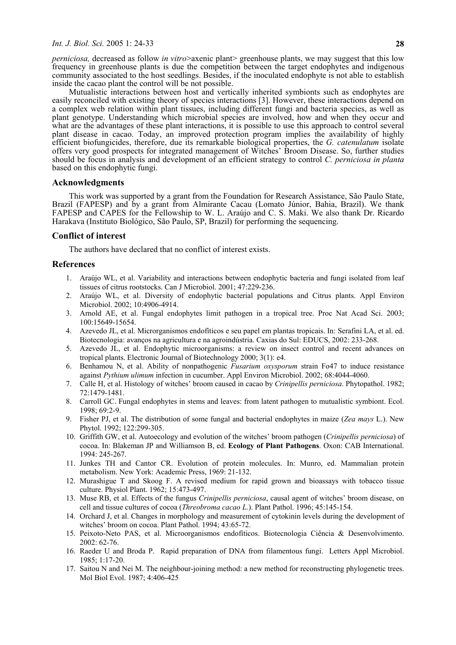*perniciosa*, decreased as follow *in vitro*>axenic plant> greenhouse plants, we may suggest that this low frequency in greenhouse plants is due the competition between the target endophytes and indigenous community associated to the host seedlings. Besides, if the inoculated endophyte is not able to establish inside the cacao plant the control will be not possible.

Mutualistic interactions between host and vertically inherited symbionts such as endophytes are easily reconciled with existing theory of species interactions [3]. However, these interactions depend on a complex web relation within plant tissues, including different fungi and bacteria species, as well as plant genotype. Understanding which microbial species are involved, how and when they occur and what are the advantages of these plant interactions, it is possible to use this approach to control several plant disease in cacao. Today, an improved protection program implies the availability of highly efficient biofungicides, therefore, due its remarkable biological properties, the *G. catenulatum* isolate offers very good prospects for integrated management of Witches' Broom Disease. So, further studies should be focus in analysis and development of an efficient strategy to control *C. perniciosa in planta*  based on this endophytic fungi.

## **Acknowledgments**

This work was supported by a grant from the Foundation for Research Assistance, São Paulo State, Brazil (FAPESP) and by a grant from Almirante Cacau (Lomato Júnior, Bahia, Brazil). We thank FAPESP and CAPES for the Fellowship to W. L. Araújo and C. S. Maki. We also thank Dr. Ricardo Harakava (Instituto Biológico, São Paulo, SP, Brazil) for performing the sequencing.

# **Conflict of interest**

The authors have declared that no conflict of interest exists.

## **References**

- 1. Araújo WL, et al. Variability and interactions between endophytic bacteria and fungi isolated from leaf tissues of citrus rootstocks. Can J Microbiol. 2001; 47:229-236.
- 2. Araújo WL, et al. Diversity of endophytic bacterial populations and Citrus plants. Appl Environ Microbiol. 2002; 10:4906-4914.
- 3. Arnold AE, et al. Fungal endophytes limit pathogen in a tropical tree. Proc Nat Acad Sci. 2003; 100:15649-15654.
- 4. Azevedo JL, et al. Microrganismos endofíticos e seu papel em plantas tropicais. In: Serafini LA, et al. ed. Biotecnologia: avanços na agricultura e na agroindústria. Caxias do Sul: EDUCS, 2002: 233-268.
- 5. Azevedo JL, et al. Endophytic microorganisms: a review on insect control and recent advances on tropical plants. Electronic Journal of Biotechnology 2000; 3(1): e4.
- 6. Benhamou N, et al. Ability of nonpathogenic *Fusarium oxysporum* strain Fo47 to induce resistance against *Pythium ulimum* infection in cucumber. Appl Environ Microbiol. 2002; 68:4044-4060.
- 7. Calle H, et al. Histology of witches' broom caused in cacao by *Crinipellis perniciosa*. Phytopathol. 1982; 72:1479-1481.
- 8. Carroll GC. Fungal endophytes in stems and leaves: from latent pathogen to mutualistic symbiont. Ecol. 1998; 69:2-9.
- 9. Fisher PJ, et al. The distribution of some fungal and bacterial endophytes in maize (*Zea mays* L.). New Phytol. 1992; 122:299-305.
- 10. Griffith GW, et al. Autoecology and evolution of the witches' broom pathogen (*Crinipellis perniciosa*) of cocoa. In: Blakeman JP and Williamson B, ed. **Ecology of Plant Pathogens**. Oxon: CAB International. 1994: 245-267.
- 11. Junkes TH and Cantor CR. Evolution of protein molecules. In: Munro, ed. Mammalian protein metabolism. New York: Academic Press, 1969: 21-132.
- 12. Murashigue T and Skoog F. A revised medium for rapid grown and bioassays with tobacco tissue culture. Physiol Plant. 1962; 15:473-497.
- 13. Muse RB, et al. Effects of the fungus *Crinipellis perniciosa*, causal agent of witches' broom disease, on cell and tissue cultures of cocoa (*Threobroma cacao L.*). Plant Pathol. 1996; 45:145-154.
- 14. Orchard J, et al. Changes in morphology and measurement of cytokinin levels during the development of witches' broom on cocoa. Plant Pathol. 1994; 43:65-72.
- 15. Peixoto-Neto PAS, et al. Microorganismos endofíticos. Biotecnologia Ciência & Desenvolvimento. 2002: 62-76.
- 16. Raeder U and Broda P. Rapid preparation of DNA from filamentous fungi. Letters Appl Microbiol. 1985; 1:17-20.
- 17. Saitou N and Nei M. The neighbour-joining method: a new method for reconstructing phylogenetic trees. Mol Biol Evol. 1987; 4:406-425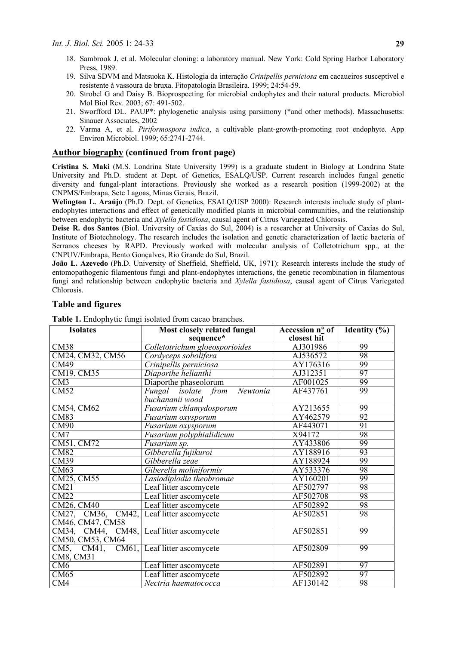- 18. Sambrook J, et al. Molecular cloning: a laboratory manual. New York: Cold Spring Harbor Laboratory Press, 1989.
- 19. Silva SDVM and Matsuoka K. Histologia da interação *Crinipellis perniciosa* em cacaueiros susceptível e resistente à vassoura de bruxa. Fitopatologia Brasileira. 1999; 24:54-59.
- 20. Strobel G and Daisy B. Bioprospecting for microbial endophytes and their natural products. Microbiol Mol Biol Rev. 2003; 67: 491-502.
- 21. Sworfford DL. PAUP\*: phylogenetic analysis using parsimony (\*and other methods). Massachusetts: Sinauer Associates, 2002
- 22. Varma A, et al. *Piriformospora indica*, a cultivable plant-growth-promoting root endophyte. App Environ Microbiol. 1999; 65:2741-2744.

## **Author biography (continued from front page)**

**Cristina S. Maki** (M.S. Londrina State University 1999) is a graduate student in Biology at Londrina State University and Ph.D. student at Dept. of Genetics, ESALQ/USP. Current research includes fungal genetic diversity and fungal-plant interactions. Previously she worked as a research position (1999-2002) at the CNPMS/Embrapa, Sete Lagoas, Minas Gerais, Brazil.

**Welington L. Araújo** (Ph.D. Dept. of Genetics, ESALQ/USP 2000): Research interests include study of plantendophytes interactions and effect of genetically modified plants in microbial communities, and the relationship between endophytic bacteria and *Xylella fastidiosa*, causal agent of Citrus Variegated Chlorosis.

**Deise R. dos Santos** (Biol. University of Caxias do Sul, 2004) is a researcher at University of Caxias do Sul, Institute of Biotechnology. The research includes the isolation and genetic characterization of lactic bacteria of Serranos cheeses by RAPD. Previously worked with molecular analysis of Colletotrichum spp., at the CNPUV/Embrapa, Bento Gonçalves, Rio Grande do Sul, Brazil.

**João L. Azevedo** (Ph.D. University of Sheffield, Sheffield, UK, 1971): Research interests include the study of entomopathogenic filamentous fungi and plant-endophytes interactions, the genetic recombination in filamentous fungi and relationship between endophytic bacteria and *Xylella fastidiosa*, causal agent of Citrus Variegated Chlorosis.

| <b>Isolates</b>                          | Most closely related fungal                  | Accession n° of | Identity $(\%)$ |
|------------------------------------------|----------------------------------------------|-----------------|-----------------|
|                                          | sequence*                                    | closest hit     |                 |
| CM38                                     | Colletotrichum gloeosporioides               | AJ301986        | 99              |
| CM24, CM32, CM56                         | Cordyceps sobolifera                         | AJ536572        | 98              |
| CM49                                     | Crinipellis perniciosa                       | AY176316        | 99              |
| CM19, CM35                               | Diaporthe helianthi                          | AJ312351        | 97              |
| CM3                                      | Diaporthe phaseolorum                        | AF001025        | 99              |
| CM52                                     | Fungal isolate from<br>$\overline{Newtonia}$ | AF437761        | 99              |
|                                          | buchananii wood                              |                 |                 |
| CM54, CM62                               | Fusarium chlamydosporum                      | AY213655        | 99              |
| <b>CM83</b>                              | Fusarium oxysporum                           | AY462579        | $\overline{92}$ |
| CM90                                     | Fusarium oxysporum                           | AF443071        | 91              |
| CM7                                      | Fusarium polyphialidicum                     | X94172          | 98              |
| CM51, CM72                               | Fusarium sp.                                 | AY433806        | 99              |
| CM82                                     | Gibberella fujikuroi                         | AY188916        | 93              |
| CM39                                     | Gibberella zeae                              | AY188924        | 99              |
| CM63                                     | Giberella moliniformis                       | AY533376        | 98              |
| CM25, CM55                               | Lasiodiplodia theobromae                     | AY160201        | 99              |
| CM21                                     | Leaf litter ascomycete                       | AF502797        | 98              |
| CM22                                     | Leaf litter ascomycete                       | AF502708        | 98              |
| CM26, CM40                               | Leaf litter ascomycete                       | AF502892        | 98              |
| CM27, CM36, CM42, Leaf litter ascomycete |                                              | AF502851        | 98              |
| CM46, CM47, CM58                         |                                              |                 |                 |
| CM34, CM44, CM48, Leaf litter ascomycete |                                              | AF502851        | 99              |
| CM50, CM53, CM64                         |                                              |                 |                 |
| CM5, CM41, CM61, Leaf litter ascomycete  |                                              | AF502809        | 99              |
| CM8, CM31                                |                                              |                 |                 |
| CM6                                      | Leaf litter ascomycete                       | AF502891        | 97              |
| CM65                                     | Leaf litter ascomycete                       | AF502892        | 97              |
| $\overline{\text{CM4}}$                  | Nectria haematococca                         | AF130142        | 98              |

## **Table and figures**

**Table 1.** Endophytic fungi isolated from cacao branches.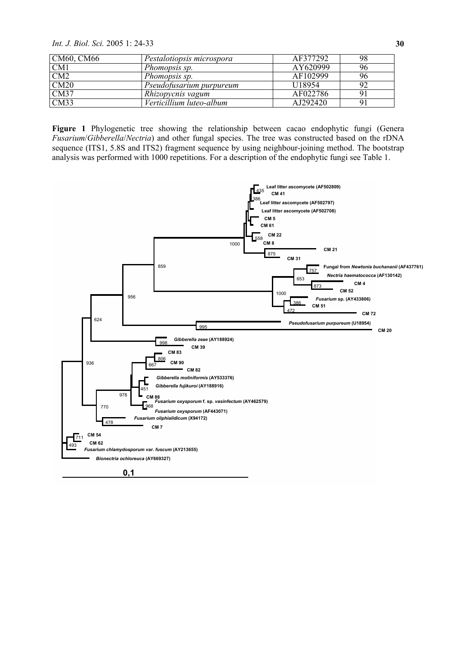*Int. J. Biol. Sci.* 2005 1: 24-33 **30**

| CM60, CM66 | Pestalotiopsis microspora | AF377292           | 98 |
|------------|---------------------------|--------------------|----|
| CM1        | Phomopsis sp.             | AY620999           | 96 |
| CM2        | Phomopsis sp.             | AF102999           | 96 |
| CM20       | Pseudofusarium purpureum  | U <sub>18954</sub> | 92 |
| CM37       | Rhizopycnis vagum         | AF022786           |    |
| CM33       | Verticillium luteo-album  | AJ292420           | 9  |

**Figure 1** Phylogenetic tree showing the relationship between cacao endophytic fungi (Genera *Fusarium*/*Gibberella*/*Nectria*) and other fungal species. The tree was constructed based on the rDNA sequence (ITS1, 5.8S and ITS2) fragment sequence by using neighbour-joining method. The bootstrap analysis was performed with 1000 repetitions. For a description of the endophytic fungi see Table 1.

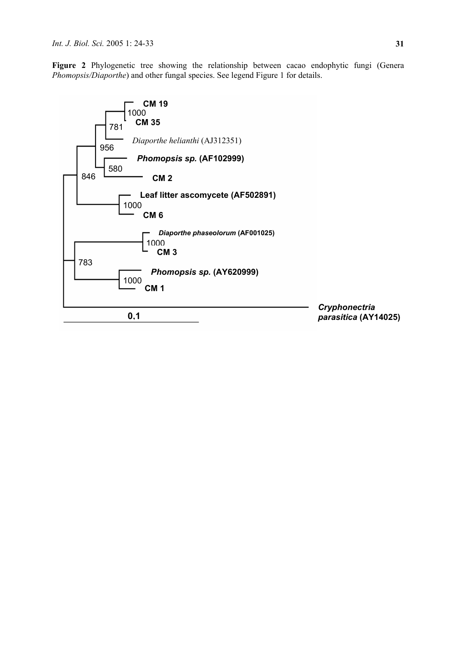**Figure 2** Phylogenetic tree showing the relationship between cacao endophytic fungi (Genera *Phomopsis/Diaporthe*) and other fungal species. See legend Figure 1 for details.

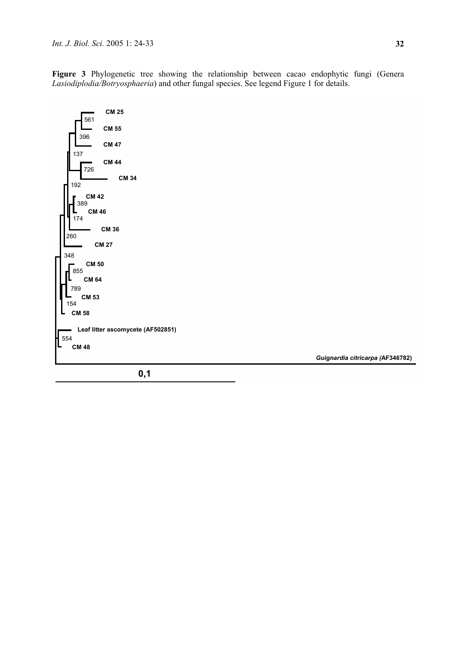**Figure 3** Phylogenetic tree showing the relationship between cacao endophytic fungi (Genera *Lasiodiplodia/Botryosphaeria*) and other fungal species. See legend Figure 1 for details.



*Guignardia citricarpa (***AF346782)**